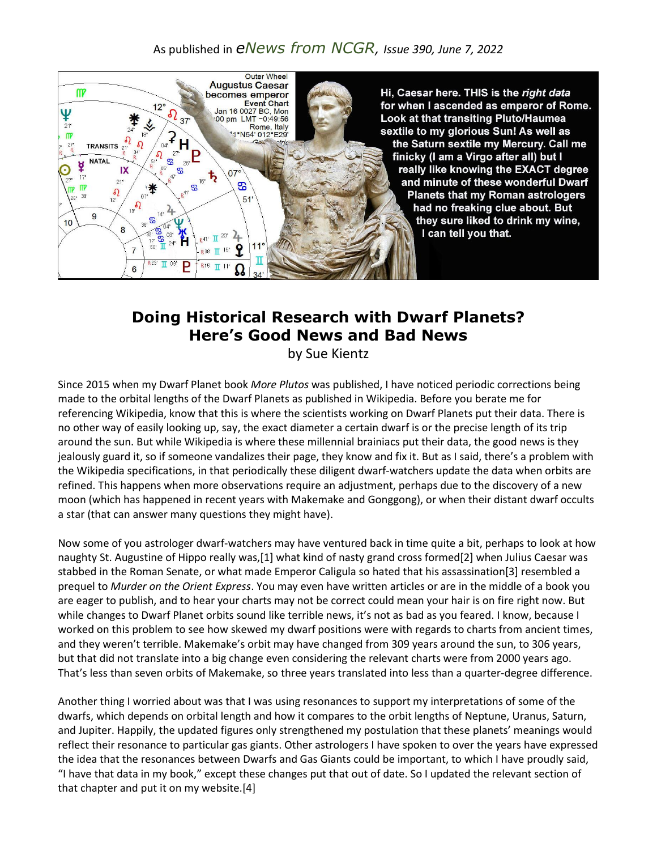## As published in *eNews from NCGR, Issue 390, June 7, 2022*



## **Doing Historical Research with Dwarf Planets? Here's Good News and Bad News**

by Sue Kientz

Since 2015 when my Dwarf Planet book *More Plutos* was published, I have noticed periodic corrections being made to the orbital lengths of the Dwarf Planets as published in Wikipedia. Before you berate me for referencing Wikipedia, know that this is where the scientists working on Dwarf Planets put their data. There is no other way of easily looking up, say, the exact diameter a certain dwarf is or the precise length of its trip around the sun. But while Wikipedia is where these millennial brainiacs put their data, the good news is they jealously guard it, so if someone vandalizes their page, they know and fix it. But as I said, there's a problem with the Wikipedia specifications, in that periodically these diligent dwarf-watchers update the data when orbits are refined. This happens when more observations require an adjustment, perhaps due to the discovery of a new moon (which has happened in recent years with Makemake and Gonggong), or when their distant dwarf occults a star (that can answer many questions they might have).

Now some of you astrologer dwarf-watchers may have ventured back in time quite a bit, perhaps to look at how naughty St. Augustine of Hippo really was,[1] what kind of nasty grand cross formed[2] when Julius Caesar was stabbed in the Roman Senate, or what made Emperor Caligula so hated that his assassination[3] resembled a prequel to *Murder on the Orient Express*. You may even have written articles or are in the middle of a book you are eager to publish, and to hear your charts may not be correct could mean your hair is on fire right now. But while changes to Dwarf Planet orbits sound like terrible news, it's not as bad as you feared. I know, because I worked on this problem to see how skewed my dwarf positions were with regards to charts from ancient times, and they weren't terrible. Makemake's orbit may have changed from 309 years around the sun, to 306 years, but that did not translate into a big change even considering the relevant charts were from 2000 years ago. That's less than seven orbits of Makemake, so three years translated into less than a quarter-degree difference.

Another thing I worried about was that I was using resonances to support my interpretations of some of the dwarfs, which depends on orbital length and how it compares to the orbit lengths of Neptune, Uranus, Saturn, and Jupiter. Happily, the updated figures only strengthened my postulation that these planets' meanings would reflect their resonance to particular gas giants. Other astrologers I have spoken to over the years have expressed the idea that the resonances between Dwarfs and Gas Giants could be important, to which I have proudly said, "I have that data in my book," except these changes put that out of date. So I updated the relevant section of that chapter and put it on my website.[4]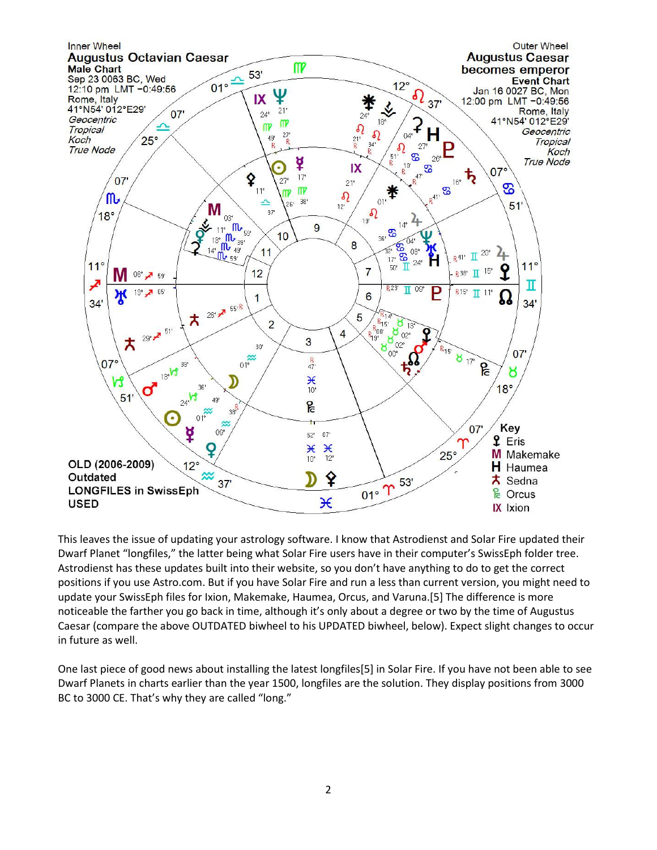

This leaves the issue of updating your astrology software. I know that Astrodienst and Solar Fire updated their Dwarf Planet "longfiles," the latter being what Solar Fire users have in their computer's SwissEph folder tree. Astrodienst has these updates built into their website, so you don't have anything to do to get the correct positions if you use Astro.com. But if you have Solar Fire and run a less than current version, you might need to update your SwissEph files for Ixion, Makemake, Haumea, Orcus, and Varuna.[5] The difference is more noticeable the farther you go back in time, although it's only about a degree or two by the time of Augustus Caesar (compare the above OUTDATED biwheel to his UPDATED biwheel, below). Expect slight changes to occur in future as well.

One last piece of good news about installing the latest longfiles[5] in Solar Fire. If you have not been able to see Dwarf Planets in charts earlier than the year 1500, longfiles are the solution. They display positions from 3000 BC to 3000 CE. That's why they are called "long."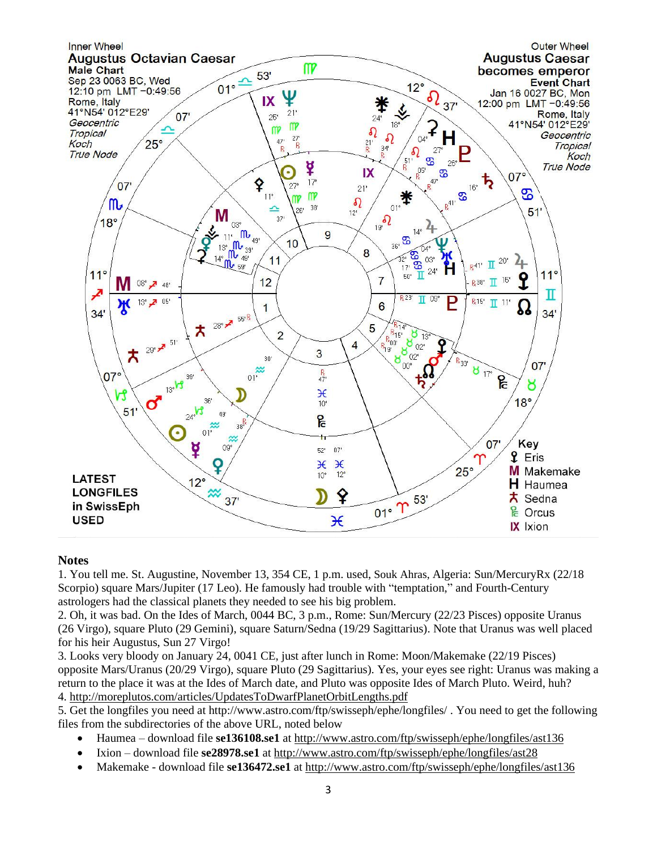

## **Notes**

1. You tell me. St. Augustine, November 13, 354 CE, 1 p.m. used, Souk Ahras, Algeria: Sun/MercuryRx (22/18 Scorpio) square Mars/Jupiter (17 Leo). He famously had trouble with "temptation," and Fourth-Century astrologers had the classical planets they needed to see his big problem.

2. Oh, it was bad. On the Ides of March, 0044 BC, 3 p.m., Rome: Sun/Mercury (22/23 Pisces) opposite Uranus (26 Virgo), square Pluto (29 Gemini), square Saturn/Sedna (19/29 Sagittarius). Note that Uranus was well placed for his heir Augustus, Sun 27 Virgo!

3. Looks very bloody on January 24, 0041 CE, just after lunch in Rome: Moon/Makemake (22/19 Pisces) opposite Mars/Uranus (20/29 Virgo), square Pluto (29 Sagittarius). Yes, your eyes see right: Uranus was making a return to the place it was at the Ides of March date, and Pluto was opposite Ides of March Pluto. Weird, huh? 4. <http://moreplutos.com/articles/UpdatesToDwarfPlanetOrbitLengths.pdf>

5. Get the longfiles you need at http://www.astro.com/ftp/swisseph/ephe/longfiles/ . You need to get the following files from the subdirectories of the above URL, noted below

- Haumea download file **se136108.se1** at<http://www.astro.com/ftp/swisseph/ephe/longfiles/ast136>
- Ixion download file **se28978.se1** at<http://www.astro.com/ftp/swisseph/ephe/longfiles/ast28>
- Makemake download file **se136472.se1** at<http://www.astro.com/ftp/swisseph/ephe/longfiles/ast136>